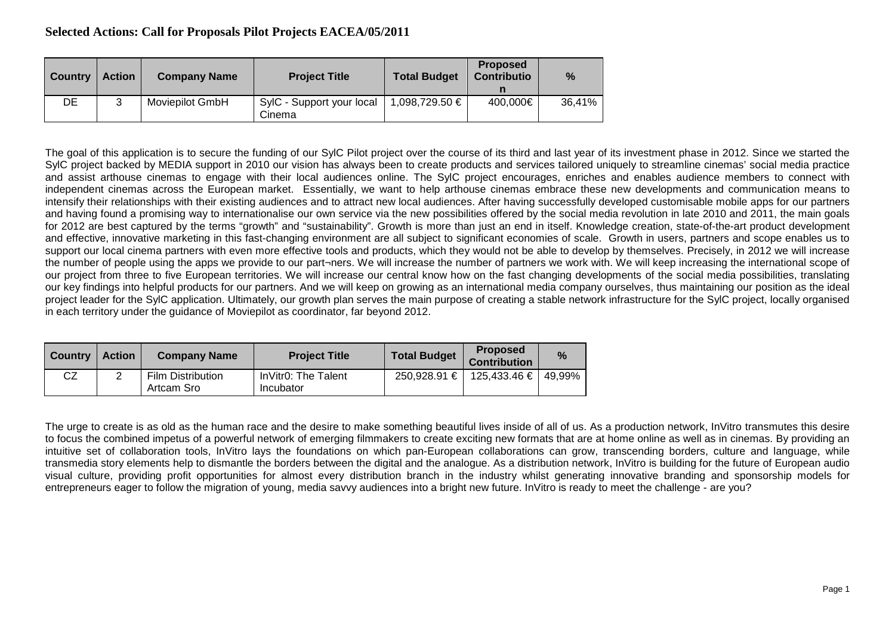## **Selected Actions: Call for Proposals Pilot Projects EACEA/05/2011**

| <b>Country</b> | <b>Action</b> | <b>Company Name</b>    | <b>Project Title</b>                | <b>Total Budget</b> | <b>Proposed</b><br><b>Contributio</b> | %      |
|----------------|---------------|------------------------|-------------------------------------|---------------------|---------------------------------------|--------|
| DE             | 3             | <b>Moviepilot GmbH</b> | SylC - Support your local<br>Cinema | 1,098,729.50 €      | 400,000€                              | 36,41% |

The goal of this application is to secure the funding of our SylC Pilot project over the course of its third and last year of its investment phase in 2012. Since we started the SylC project backed by MEDIA support in 2010 our vision has always been to create products and services tailored uniquely to streamline cinemas' social media practice and assist arthouse cinemas to engage with their local audiences online. The SylC project encourages, enriches and enables audience members to connect with independent cinemas across the European market. Essentially, we want to help arthouse cinemas embrace these new developments and communication means to intensify their relationships with their existing audiences and to attract new local audiences. After having successfully developed customisable mobile apps for our partners and having found a promising way to internationalise our own service via the new possibilities offered by the social media revolution in late 2010 and 2011, the main goals for 2012 are best captured by the terms "growth" and "sustainability". Growth is more than just an end in itself. Knowledge creation, state-of-the-art product development and effective, innovative marketing in this fast-changing environment are all subject to significant economies of scale. Growth in users, partners and scope enables us to support our local cinema partners with even more effective tools and products, which they would not be able to develop by themselves. Precisely, in 2012 we will increase the number of people using the apps we provide to our part¬ners. We will increase the number of partners we work with. We will keep increasing the international scope of our project from three to five European territories. We will increase our central know how on the fast changing developments of the social media possibilities, translating our key findings into helpful products for our partners. And we will keep on growing as an international media company ourselves, thus maintaining our position as the ideal project leader for the SylC application. Ultimately, our growth plan serves the main purpose of creating a stable network infrastructure for the SylC project, locally organised in each territory under the guidance of Moviepilot as coordinator, far beyond 2012.

| <b>Country</b> | <b>Action</b> | <b>Company Name</b>                    | <b>Project Title</b>             | <b>Total Budget</b> | <b>Proposed</b><br><b>Contribution</b> | $\frac{9}{6}$ |
|----------------|---------------|----------------------------------------|----------------------------------|---------------------|----------------------------------------|---------------|
| CZ             |               | <b>Film Distribution</b><br>Artcam Sro | InVitr0: The Talent<br>Incubator |                     | 250,928.91 €   125,433.46 €   49,99%   |               |

The urge to create is as old as the human race and the desire to make something beautiful lives inside of all of us. As a production network, InVitro transmutes this desire to focus the combined impetus of a powerful network of emerging filmmakers to create exciting new formats that are at home online as well as in cinemas. By providing an intuitive set of collaboration tools, InVitro lays the foundations on which pan-European collaborations can grow, transcending borders, culture and language, while transmedia story elements help to dismantle the borders between the digital and the analogue. As a distribution network, InVitro is building for the future of European audio visual culture, providing profit opportunities for almost every distribution branch in the industry whilst generating innovative branding and sponsorship models for entrepreneurs eager to follow the migration of young, media savvy audiences into a bright new future. InVitro is ready to meet the challenge - are you?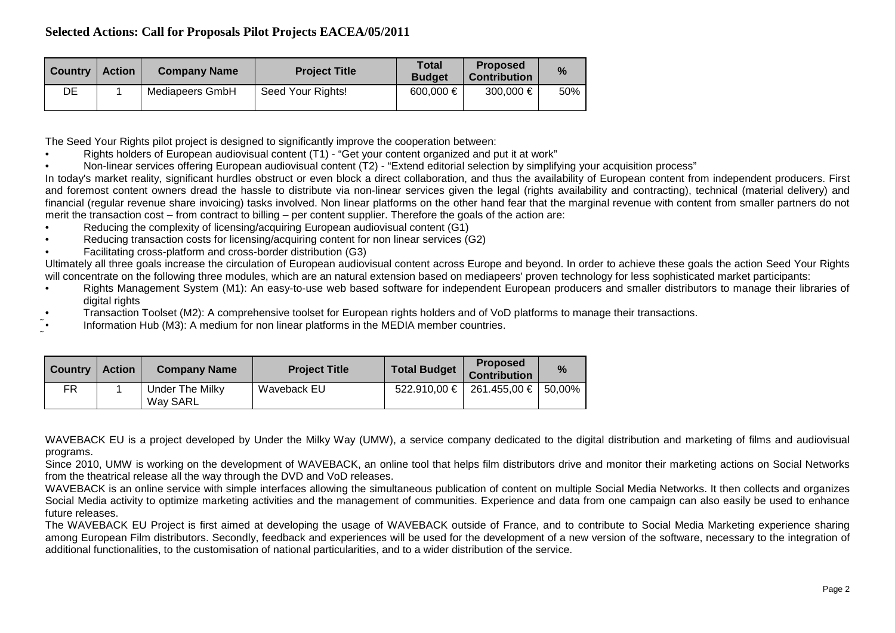| <b>Country</b> | <b>Action</b> | <b>Company Name</b> | <b>Project Title</b> | <b>Total</b><br><b>Budget</b> | <b>Proposed</b><br><b>Contribution</b> | %   |
|----------------|---------------|---------------------|----------------------|-------------------------------|----------------------------------------|-----|
| DE             |               | Mediapeers GmbH     | Seed Your Rights!    | 600,000 €                     | 300,000 €                              | 50% |

The Seed Your Rights pilot project is designed to significantly improve the cooperation between:

- Rights holders of European audiovisual content (T1) "Get your content organized and put it at work"
- Non-linear services offering European audiovisual content (T2) "Extend editorial selection by simplifying your acquisition process"

In today's market reality, significant hurdles obstruct or even block a direct collaboration, and thus the availability of European content from independent producers. First and foremost content owners dread the hassle to distribute via non-linear services given the legal (rights availability and contracting), technical (material delivery) and financial (regular revenue share invoicing) tasks involved. Non linear platforms on the other hand fear that the marginal revenue with content from smaller partners do not merit the transaction cost – from contract to billing – per content supplier. Therefore the goals of the action are:

- Reducing the complexity of licensing/acquiring European audiovisual content (G1)
- Reducing transaction costs for licensing/acquiring content for non linear services (G2)
- Facilitating cross-platform and cross-border distribution (G3)

Ultimately all three goals increase the circulation of European audiovisual content across Europe and beyond. In order to achieve these goals the action Seed Your Rights will concentrate on the following three modules, which are an natural extension based on mediapeers' proven technology for less sophisticated market participants:

- Rights Management System (M1): An easy-to-use web based software for independent European producers and smaller distributors to manage their libraries of digital rights
- Transaction Toolset (M2): A comprehensive toolset for European rights holders and of VoD platforms to manage their transactions.
- Information Hub (M3): A medium for non linear platforms in the MEDIA member countries.

| <b>Country</b> | <b>Action</b> | <b>Company Name</b>         | <b>Project Title</b> | <b>Total Budget</b> | <b>Proposed</b><br><b>Contribution</b> | $\%$ |
|----------------|---------------|-----------------------------|----------------------|---------------------|----------------------------------------|------|
| FR             |               | Under The Milky<br>Way SARL | Waveback EU          |                     | 522.910,00 €   261.455,00 €   50,00%   |      |

WAVEBACK EU is a project developed by Under the Milky Way (UMW), a service company dedicated to the digital distribution and marketing of films and audiovisual programs.

Since 2010, UMW is working on the development of WAVEBACK, an online tool that helps film distributors drive and monitor their marketing actions on Social Networks from the theatrical release all the way through the DVD and VoD releases.

WAVEBACK is an online service with simple interfaces allowing the simultaneous publication of content on multiple Social Media Networks. It then collects and organizes Social Media activity to optimize marketing activities and the management of communities. Experience and data from one campaign can also easily be used to enhance future releases.

The WAVEBACK EU Project is first aimed at developing the usage of WAVEBACK outside of France, and to contribute to Social Media Marketing experience sharing among European Film distributors. Secondly, feedback and experiences will be used for the development of a new version of the software, necessary to the integration of additional functionalities, to the customisation of national particularities, and to a wider distribution of the service.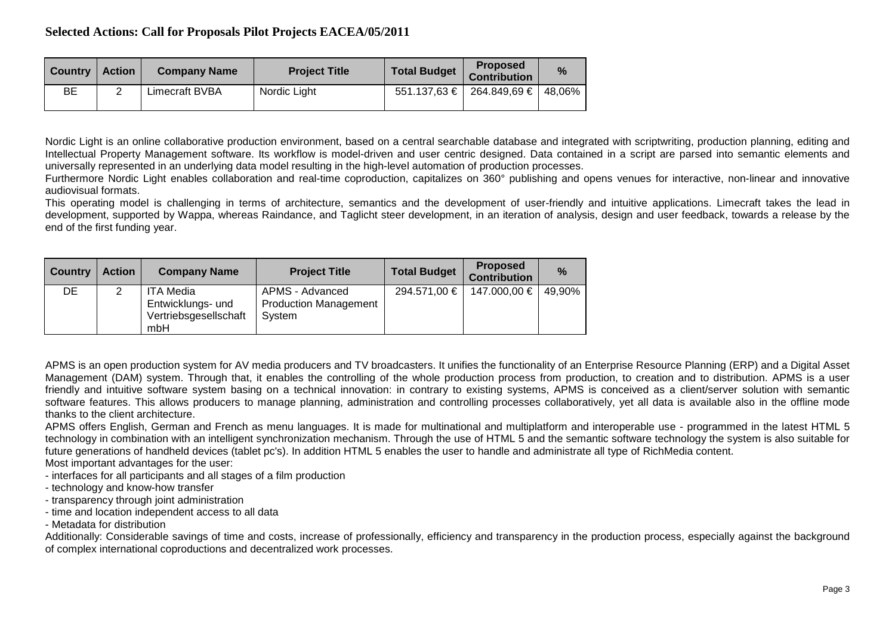| <b>Country</b> | <b>Action</b> | <b>Company Name</b> | <b>Project Title</b> | <b>Total Budget</b> | <b>Proposed</b><br><b>Contribution</b>   | $\%$ |
|----------------|---------------|---------------------|----------------------|---------------------|------------------------------------------|------|
| ВE             |               | Limecraft BVBA      | Nordic Light         |                     | $551.137,63 \in$   264.849,69 €   48,06% |      |

Nordic Light is an online collaborative production environment, based on a central searchable database and integrated with scriptwriting, production planning, editing and Intellectual Property Management software. Its workflow is model-driven and user centric designed. Data contained in a script are parsed into semantic elements and universally represented in an underlying data model resulting in the high-level automation of production processes.

Furthermore Nordic Light enables collaboration and real-time coproduction, capitalizes on 360° publishing and opens venues for interactive, non-linear and innovative audiovisual formats.

This operating model is challenging in terms of architecture, semantics and the development of user-friendly and intuitive applications. Limecraft takes the lead in development, supported by Wappa, whereas Raindance, and Taglicht steer development, in an iteration of analysis, design and user feedback, towards a release by the end of the first funding year.

| <b>Country</b> | <b>Action</b> | <b>Company Name</b>                                                   | <b>Project Title</b>                                      | <b>Total Budget</b> | <b>Proposed</b><br><b>Contribution</b> | $\frac{9}{6}$ |
|----------------|---------------|-----------------------------------------------------------------------|-----------------------------------------------------------|---------------------|----------------------------------------|---------------|
| DE             | ົ             | <b>ITA Media</b><br>Entwicklungs- und<br>Vertriebsgesellschaft<br>mbH | APMS - Advanced<br><b>Production Management</b><br>System | 294.571,00 €        | 147.000,00 €   49,90%                  |               |

APMS is an open production system for AV media producers and TV broadcasters. It unifies the functionality of an Enterprise Resource Planning (ERP) and a Digital Asset Management (DAM) system. Through that, it enables the controlling of the whole production process from production, to creation and to distribution. APMS is a user friendly and intuitive software system basing on a technical innovation: in contrary to existing systems, APMS is conceived as a client/server solution with semantic software features. This allows producers to manage planning, administration and controlling processes collaboratively, yet all data is available also in the offline mode thanks to the client architecture.

APMS offers English, German and French as menu languages. It is made for multinational and multiplatform and interoperable use - programmed in the latest HTML 5 technology in combination with an intelligent synchronization mechanism. Through the use of HTML 5 and the semantic software technology the system is also suitable for future generations of handheld devices (tablet pc's). In addition HTML 5 enables the user to handle and administrate all type of RichMedia content.

Most important advantages for the user:

- interfaces for all participants and all stages of a film production
- technology and know-how transfer
- transparency through joint administration
- time and location independent access to all data
- Metadata for distribution

Additionally: Considerable savings of time and costs, increase of professionally, efficiency and transparency in the production process, especially against the background of complex international coproductions and decentralized work processes.